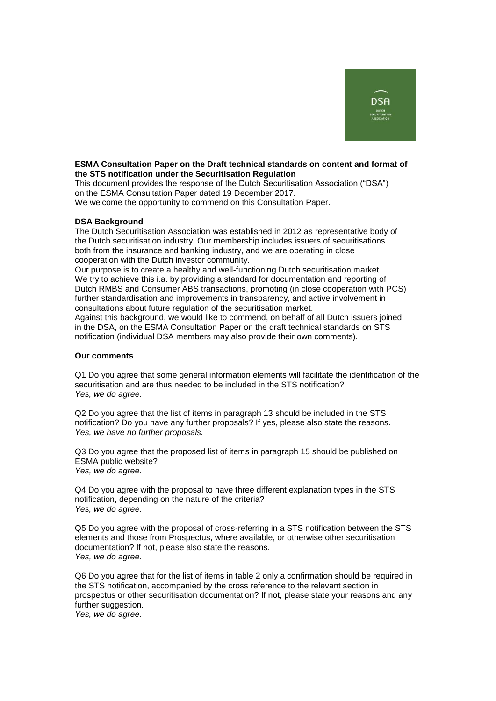

## **ESMA Consultation Paper on the Draft technical standards on content and format of the STS notification under the Securitisation Regulation**

This document provides the response of the Dutch Securitisation Association ("DSA") on the ESMA Consultation Paper dated 19 December 2017.

We welcome the opportunity to commend on this Consultation Paper.

## **DSA Background**

The Dutch Securitisation Association was established in 2012 as representative body of the Dutch securitisation industry. Our membership includes issuers of securitisations both from the insurance and banking industry, and we are operating in close cooperation with the Dutch investor community.

Our purpose is to create a healthy and well-functioning Dutch securitisation market. We try to achieve this i.a. by providing a standard for documentation and reporting of Dutch RMBS and Consumer ABS transactions, promoting (in close cooperation with PCS) further standardisation and improvements in transparency, and active involvement in consultations about future regulation of the securitisation market.

Against this background, we would like to commend, on behalf of all Dutch issuers joined in the DSA, on the ESMA Consultation Paper on the draft technical standards on STS notification (individual DSA members may also provide their own comments).

## **Our comments**

Q1 Do you agree that some general information elements will facilitate the identification of the securitisation and are thus needed to be included in the STS notification? *Yes, we do agree.*

Q2 Do you agree that the list of items in paragraph 13 should be included in the STS notification? Do you have any further proposals? If yes, please also state the reasons. *Yes, we have no further proposals.*

Q3 Do you agree that the proposed list of items in paragraph 15 should be published on ESMA public website? *Yes, we do agree.*

Q4 Do you agree with the proposal to have three different explanation types in the STS notification, depending on the nature of the criteria? *Yes, we do agree.*

Q5 Do you agree with the proposal of cross-referring in a STS notification between the STS elements and those from Prospectus, where available, or otherwise other securitisation documentation? If not, please also state the reasons. *Yes, we do agree.*

Q6 Do you agree that for the list of items in table 2 only a confirmation should be required in the STS notification, accompanied by the cross reference to the relevant section in prospectus or other securitisation documentation? If not, please state your reasons and any further suggestion.

*Yes, we do agree.*